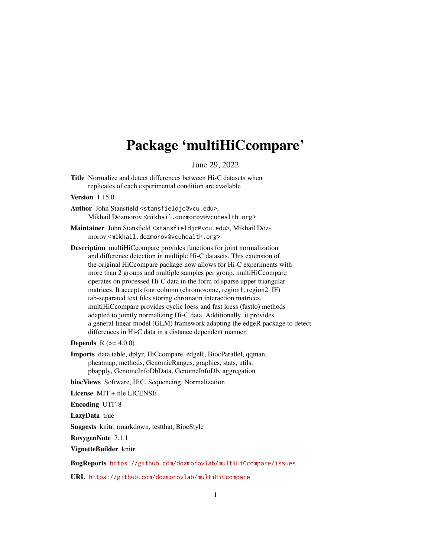# Package 'multiHiCcompare'

June 29, 2022

Title Normalize and detect differences between Hi-C datasets when replicates of each experimental condition are available

Version 1.15.0

- Author John Stansfield <stansfieldjc@vcu.edu>, Mikhail Dozmorov <mikhail.dozmorov@vcuhealth.org>
- Maintainer John Stansfield <stansfieldjc@vcu.edu>, Mikhail Dozmorov <mikhail.dozmorov@vcuhealth.org>
- Description multiHiCcompare provides functions for joint normalization and difference detection in multiple Hi-C datasets. This extension of the original HiCcompare package now allows for Hi-C experiments with more than 2 groups and multiple samples per group. multiHiCcompare operates on processed Hi-C data in the form of sparse upper triangular matrices. It accepts four column (chromosome, region1, region2, IF) tab-separated text files storing chromatin interaction matrices. multiHiCcompare provides cyclic loess and fast loess (fastlo) methods adapted to jointly normalizing Hi-C data. Additionally, it provides a general linear model (GLM) framework adapting the edgeR package to detect differences in Hi-C data in a distance dependent manner.

**Depends**  $R (= 4.0.0)$ 

Imports data.table, dplyr, HiCcompare, edgeR, BiocParallel, qqman, pheatmap, methods, GenomicRanges, graphics, stats, utils, pbapply, GenomeInfoDbData, GenomeInfoDb, aggregation

biocViews Software, HiC, Sequencing, Normalization

License MIT + file LICENSE

Encoding UTF-8

LazyData true

Suggests knitr, rmarkdown, testthat, BiocStyle

RoxygenNote 7.1.1

VignetteBuilder knitr

BugReports <https://github.com/dozmorovlab/multiHiCcompare/issues>

URL <https://github.com/dozmorovlab/multiHiCcompare>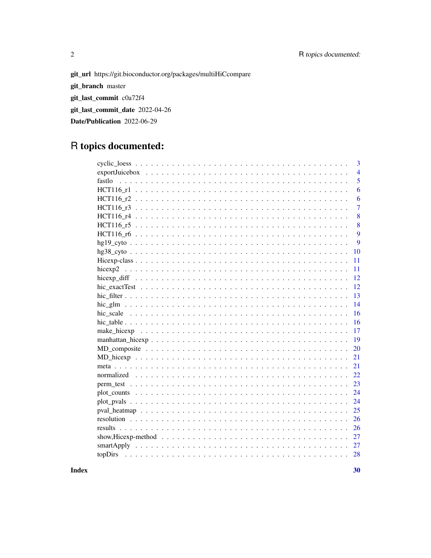git\_url https://git.bioconductor.org/packages/multiHiCcompare git\_branch master git\_last\_commit c0a72f4 git\_last\_commit\_date 2022-04-26

Date/Publication 2022-06-29

## R topics documented:

 $\overline{2}$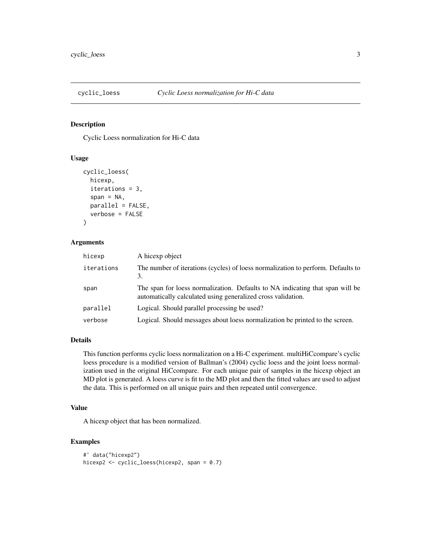<span id="page-2-0"></span>

Cyclic Loess normalization for Hi-C data

#### Usage

```
cyclic_loess(
  hicexp,
  iterations = 3,
  span = NA,
  parallel = FALSE,
  verbose = FALSE
\mathcal{E}
```
#### Arguments

| hicexp     | A hicexp object                                                                                                                               |
|------------|-----------------------------------------------------------------------------------------------------------------------------------------------|
| iterations | The number of iterations (cycles) of loess normalization to perform. Defaults to<br>3.                                                        |
| span       | The span for loess normalization. Defaults to NA indicating that span will be<br>automatically calculated using generalized cross validation. |
| parallel   | Logical. Should parallel processing be used?                                                                                                  |
| verbose    | Logical. Should messages about loess normalization be printed to the screen.                                                                  |

## Details

This function performs cyclic loess normalization on a Hi-C experiment. multiHiCcompare's cyclic loess procedure is a modified version of Ballman's (2004) cyclic loess and the joint loess normalization used in the original HiCcompare. For each unique pair of samples in the hicexp object an MD plot is generated. A loess curve is fit to the MD plot and then the fitted values are used to adjust the data. This is performed on all unique pairs and then repeated until convergence.

#### Value

A hicexp object that has been normalized.

```
#' data("hicexp2")
hicexp2 <- cyclic_loess(hicexp2, span = 0.7)
```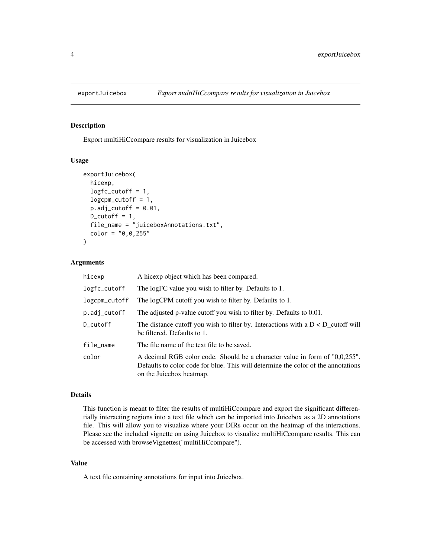<span id="page-3-0"></span>

Export multiHiCcompare results for visualization in Juicebox

#### Usage

```
exportJuicebox(
  hicexp,
  logfc_cutoff = 1,
  logcpm_cutoff = 1,
  p.add_cutoff = 0.01,
  D_{\text{cutoff}} = 1,
  file_name = "juiceboxAnnotations.txt",
  color = "0, 0, 255")
```
#### Arguments

| hicexp        | A hicexp object which has been compared.                                                                                                                                                     |
|---------------|----------------------------------------------------------------------------------------------------------------------------------------------------------------------------------------------|
| logfc_cutoff  | The logFC value you wish to filter by. Defaults to 1.                                                                                                                                        |
| logcpm_cutoff | The logCPM cutoff you wish to filter by. Defaults to 1.                                                                                                                                      |
| p.adj_cutoff  | The adjusted p-value cutoff you wish to filter by. Defaults to 0.01.                                                                                                                         |
| D_cutoff      | The distance cutoff you wish to filter by. Interactions with a $D < D$ cutoff will<br>be filtered. Defaults to 1.                                                                            |
| file_name     | The file name of the text file to be saved.                                                                                                                                                  |
| color         | A decimal RGB color code. Should be a character value in form of "0,0,255".<br>Defaults to color code for blue. This will determine the color of the annotations<br>on the Juicebox heatmap. |

## Details

This function is meant to filter the results of multiHiCcompare and export the significant differentially interacting regions into a text file which can be imported into Juicebox as a 2D annotations file. This will allow you to visualize where your DIRs occur on the heatmap of the interactions. Please see the included vignette on using Juicebox to visualize multiHiCcompare results. This can be accessed with browseVignettes("multiHiCcompare").

#### Value

A text file containing annotations for input into Juicebox.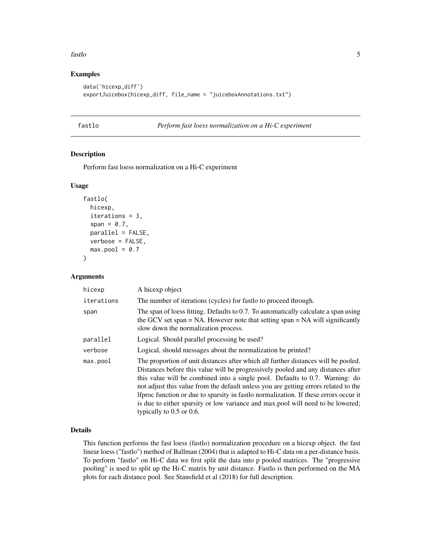#### <span id="page-4-0"></span>fastlo 5

## Examples

```
data('hicexp_diff')
exportJuicebox(hicexp_diff, file_name = "juiceboxAnnotations.txt")
```
fastlo *Perform fast loess normalization on a Hi-C experiment*

## Description

Perform fast loess normalization on a Hi-C experiment

## Usage

```
fastlo(
 hicexp,
  iterations = 3,
  span = 0.7,
 parallel = FALSE,
 verbose = FALSE,
 max.pool = 0.7
```
)

#### Arguments

| hicexp     | A hicexp object                                                                                                                                                                                                                                                                                                                                                                                                                                                                                                                                            |
|------------|------------------------------------------------------------------------------------------------------------------------------------------------------------------------------------------------------------------------------------------------------------------------------------------------------------------------------------------------------------------------------------------------------------------------------------------------------------------------------------------------------------------------------------------------------------|
| iterations | The number of iterations (cycles) for fastlo to proceed through.                                                                                                                                                                                                                                                                                                                                                                                                                                                                                           |
| span       | The span of loess fitting. Defaults to 0.7. To automatically calculate a span using<br>the GCV set span $= NA$ . However note that setting span $= NA$ will significantly<br>slow down the normalization process.                                                                                                                                                                                                                                                                                                                                          |
| parallel   | Logical. Should parallel processing be used?                                                                                                                                                                                                                                                                                                                                                                                                                                                                                                               |
| verbose    | Logical, should messages about the normalization be printed?                                                                                                                                                                                                                                                                                                                                                                                                                                                                                               |
| max.pool   | The proportion of unit distances after which all further distances will be pooled.<br>Distances before this value will be progressively pooled and any distances after<br>this value will be combined into a single pool. Defaults to 0.7. Warning: do<br>not adjust this value from the default unless you are getting errors related to the<br>If proc function or due to sparsity in fastlo normalization. If these errors occur it<br>is due to either sparsity or low variance and max.pool will need to be lowered;<br>typically to $0.5$ or $0.6$ . |

#### Details

This function performs the fast loess (fastlo) normalization procedure on a hicexp object. the fast linear loess ("fastlo") method of Ballman (2004) that is adapted to Hi-C data on a per-distance basis. To perform "fastlo" on Hi-C data we first split the data into p pooled matrices. The "progressive pooling" is used to split up the Hi-C matrix by unit distance. Fastlo is then performed on the MA plots for each distance pool. See Stansfield et al (2018) for full description.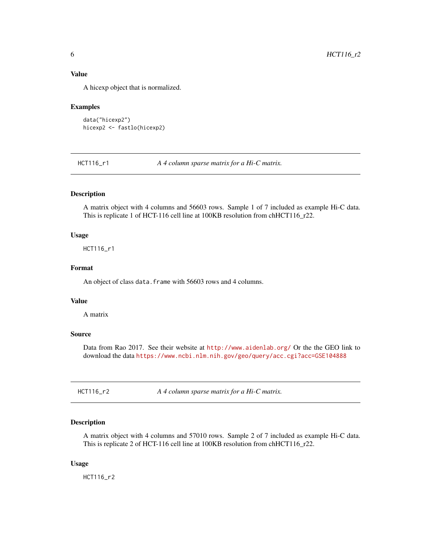#### <span id="page-5-0"></span>Value

A hicexp object that is normalized.

#### Examples

```
data("hicexp2")
hicexp2 <- fastlo(hicexp2)
```
HCT116\_r1 *A 4 column sparse matrix for a Hi-C matrix.*

## Description

A matrix object with 4 columns and 56603 rows. Sample 1 of 7 included as example Hi-C data. This is replicate 1 of HCT-116 cell line at 100KB resolution from chHCT116\_r22.

#### Usage

HCT116\_r1

#### Format

An object of class data. frame with 56603 rows and 4 columns.

#### Value

A matrix

## Source

Data from Rao 2017. See their website at <http://www.aidenlab.org/> Or the the GEO link to download the data <https://www.ncbi.nlm.nih.gov/geo/query/acc.cgi?acc=GSE104888>

HCT116\_r2 *A 4 column sparse matrix for a Hi-C matrix.*

#### Description

A matrix object with 4 columns and 57010 rows. Sample 2 of 7 included as example Hi-C data. This is replicate 2 of HCT-116 cell line at 100KB resolution from chHCT116\_r22.

#### Usage

HCT116\_r2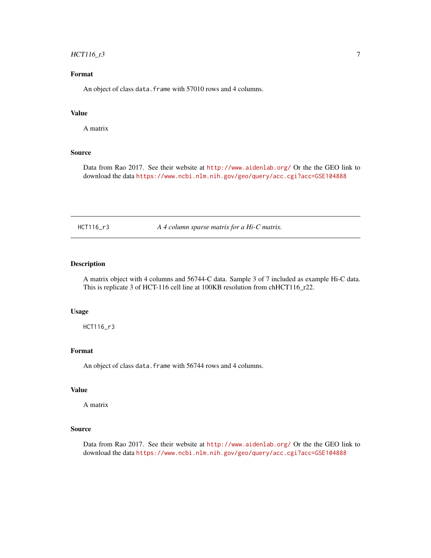## <span id="page-6-0"></span> $HCT116_r3$  7

## Format

An object of class data. frame with 57010 rows and 4 columns.

#### Value

A matrix

#### Source

Data from Rao 2017. See their website at <http://www.aidenlab.org/> Or the the GEO link to download the data <https://www.ncbi.nlm.nih.gov/geo/query/acc.cgi?acc=GSE104888>

HCT116\_r3 *A 4 column sparse matrix for a Hi-C matrix.*

#### Description

A matrix object with 4 columns and 56744-C data. Sample 3 of 7 included as example Hi-C data. This is replicate 3 of HCT-116 cell line at 100KB resolution from chHCT116\_r22.

#### Usage

HCT116\_r3

#### Format

An object of class data. frame with 56744 rows and 4 columns.

#### Value

A matrix

#### Source

Data from Rao 2017. See their website at <http://www.aidenlab.org/> Or the the GEO link to download the data <https://www.ncbi.nlm.nih.gov/geo/query/acc.cgi?acc=GSE104888>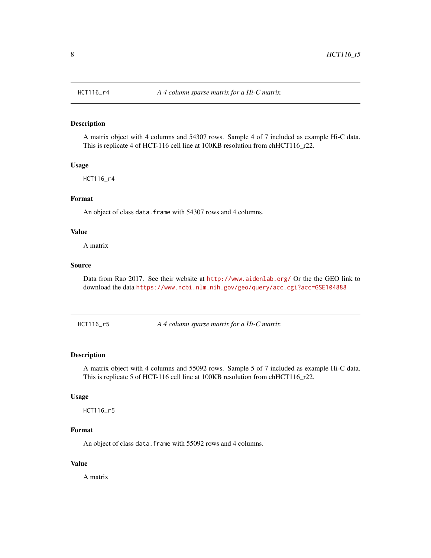A matrix object with 4 columns and 54307 rows. Sample 4 of 7 included as example Hi-C data. This is replicate 4 of HCT-116 cell line at 100KB resolution from chHCT116\_r22.

#### Usage

HCT116\_r4

#### Format

An object of class data. frame with 54307 rows and 4 columns.

#### Value

A matrix

#### Source

Data from Rao 2017. See their website at <http://www.aidenlab.org/> Or the the GEO link to download the data <https://www.ncbi.nlm.nih.gov/geo/query/acc.cgi?acc=GSE104888>

HCT116\_r5 *A 4 column sparse matrix for a Hi-C matrix.*

#### Description

A matrix object with 4 columns and 55092 rows. Sample 5 of 7 included as example Hi-C data. This is replicate 5 of HCT-116 cell line at 100KB resolution from chHCT116\_r22.

#### Usage

HCT116\_r5

## Format

An object of class data. frame with 55092 rows and 4 columns.

#### Value

A matrix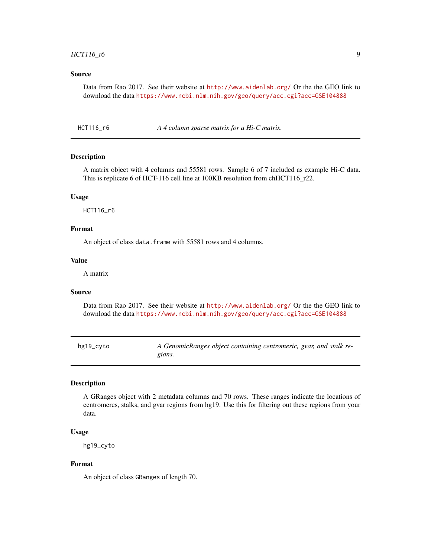#### <span id="page-8-0"></span>Source

Data from Rao 2017. See their website at <http://www.aidenlab.org/> Or the the GEO link to download the data <https://www.ncbi.nlm.nih.gov/geo/query/acc.cgi?acc=GSE104888>

HCT116\_r6 *A 4 column sparse matrix for a Hi-C matrix.*

#### Description

A matrix object with 4 columns and 55581 rows. Sample 6 of 7 included as example Hi-C data. This is replicate 6 of HCT-116 cell line at 100KB resolution from chHCT116\_r22.

#### Usage

HCT116\_r6

### Format

An object of class data. frame with 55581 rows and 4 columns.

#### Value

A matrix

#### Source

Data from Rao 2017. See their website at <http://www.aidenlab.org/> Or the the GEO link to download the data <https://www.ncbi.nlm.nih.gov/geo/query/acc.cgi?acc=GSE104888>

hg19\_cyto *A GenomicRanges object containing centromeric, gvar, and stalk regions.*

#### Description

A GRanges object with 2 metadata columns and 70 rows. These ranges indicate the locations of centromeres, stalks, and gvar regions from hg19. Use this for filtering out these regions from your data.

#### Usage

hg19\_cyto

#### Format

An object of class GRanges of length 70.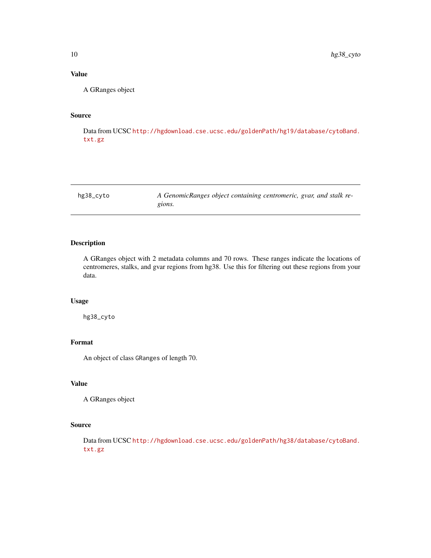## <span id="page-9-0"></span>Value

A GRanges object

## Source

Data from UCSC [http://hgdownload.cse.ucsc.edu/goldenPath/hg19/database/cytoBand.](http://hgdownload.cse.ucsc.edu/goldenPath/hg19/database/cytoBand.txt.gz) [txt.gz](http://hgdownload.cse.ucsc.edu/goldenPath/hg19/database/cytoBand.txt.gz)

hg38\_cyto *A GenomicRanges object containing centromeric, gvar, and stalk regions.*

## Description

A GRanges object with 2 metadata columns and 70 rows. These ranges indicate the locations of centromeres, stalks, and gvar regions from hg38. Use this for filtering out these regions from your data.

#### Usage

hg38\_cyto

## Format

An object of class GRanges of length 70.

#### Value

A GRanges object

#### Source

Data from UCSC [http://hgdownload.cse.ucsc.edu/goldenPath/hg38/database/cytoBand.](http://hgdownload.cse.ucsc.edu/goldenPath/hg38/database/cytoBand.txt.gz) [txt.gz](http://hgdownload.cse.ucsc.edu/goldenPath/hg38/database/cytoBand.txt.gz)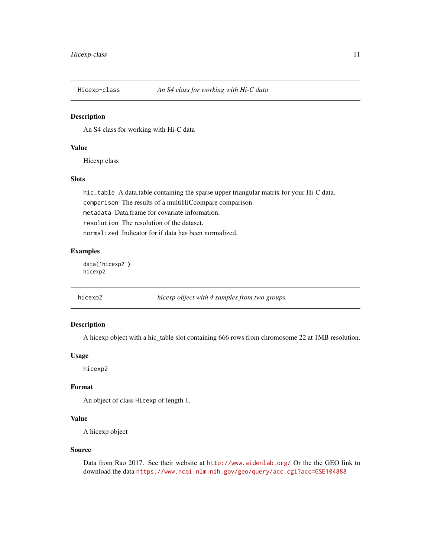<span id="page-10-0"></span>

An S4 class for working with Hi-C data

## Value

Hicexp class

## Slots

hic\_table A data.table containing the sparse upper triangular matrix for your Hi-C data. comparison The results of a multiHiCcompare comparison. metadata Data.frame for covariate information. resolution The resolution of the dataset. normalized Indicator for if data has been normalized.

## Examples

data('hicexp2') hicexp2

hicexp2 *hicexp object with 4 samples from two groups.*

#### Description

A hicexp object with a hic\_table slot containing 666 rows from chromosome 22 at 1MB resolution.

#### Usage

hicexp2

## Format

An object of class Hicexp of length 1.

#### Value

A hicexp object

#### Source

Data from Rao 2017. See their website at <http://www.aidenlab.org/> Or the the GEO link to download the data <https://www.ncbi.nlm.nih.gov/geo/query/acc.cgi?acc=GSE104888>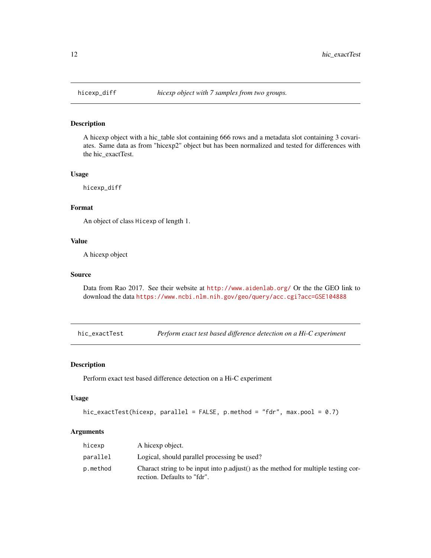<span id="page-11-0"></span>

A hicexp object with a hic\_table slot containing 666 rows and a metadata slot containing 3 covariates. Same data as from "hicexp2" object but has been normalized and tested for differences with the hic\_exactTest.

#### Usage

hicexp\_diff

#### Format

An object of class Hicexp of length 1.

#### Value

A hicexp object

#### Source

Data from Rao 2017. See their website at <http://www.aidenlab.org/> Or the the GEO link to download the data <https://www.ncbi.nlm.nih.gov/geo/query/acc.cgi?acc=GSE104888>

hic\_exactTest *Perform exact test based difference detection on a Hi-C experiment*

#### Description

Perform exact test based difference detection on a Hi-C experiment

#### Usage

```
hic_exactTest(hicexp, parallel = FALSE, p.method = "fdr", max.pool = 0.7)
```
#### Arguments

| hicexp   | A hicexp object.                                                                                                  |
|----------|-------------------------------------------------------------------------------------------------------------------|
| parallel | Logical, should parallel processing be used?                                                                      |
| p.method | Charact string to be input into p.adjust() as the method for multiple testing cor-<br>rection. Defaults to "fdr". |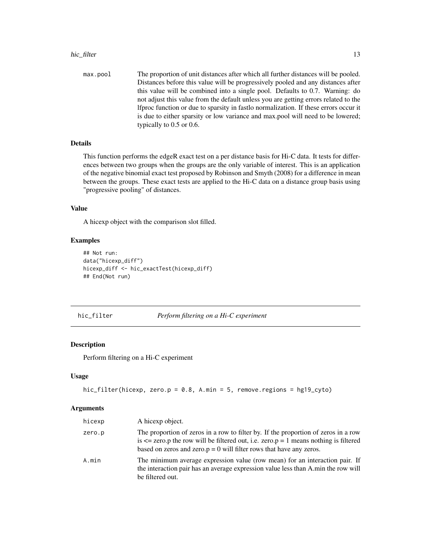#### <span id="page-12-0"></span>hic\_filter the contract of the contract of the contract of the contract of the contract of the contract of the contract of the contract of the contract of the contract of the contract of the contract of the contract of the

max.pool The proportion of unit distances after which all further distances will be pooled. Distances before this value will be progressively pooled and any distances after this value will be combined into a single pool. Defaults to 0.7. Warning: do not adjust this value from the default unless you are getting errors related to the lfproc function or due to sparsity in fastlo normalization. If these errors occur it is due to either sparsity or low variance and max.pool will need to be lowered; typically to 0.5 or 0.6.

## Details

This function performs the edgeR exact test on a per distance basis for Hi-C data. It tests for differences between two groups when the groups are the only variable of interest. This is an application of the negative binomial exact test proposed by Robinson and Smyth (2008) for a difference in mean between the groups. These exact tests are applied to the Hi-C data on a distance group basis using "progressive pooling" of distances.

#### Value

A hicexp object with the comparison slot filled.

#### Examples

```
## Not run:
data("hicexp_diff")
hicexp_diff <- hic_exactTest(hicexp_diff)
## End(Not run)
```
hic\_filter *Perform filtering on a Hi-C experiment*

#### Description

Perform filtering on a Hi-C experiment

#### Usage

```
hic_filter(hicexp, zero.p = 0.8, A.min = 5, remove.regions = hg19_cyto)
```
#### Arguments

| hicexp | A hicexp object.                                                                                                                                                                                                                                             |
|--------|--------------------------------------------------------------------------------------------------------------------------------------------------------------------------------------------------------------------------------------------------------------|
| zero.p | The proportion of zeros in a row to filter by. If the proportion of zeros in a row<br>is $\leq$ zero. p the row will be filtered out, i.e. zero. $p = 1$ means nothing is filtered<br>based on zeros and zero. $p = 0$ will filter rows that have any zeros. |
| A.min  | The minimum average expression value (row mean) for an interaction pair. If<br>the interaction pair has an average expression value less than A min the row will<br>be filtered out.                                                                         |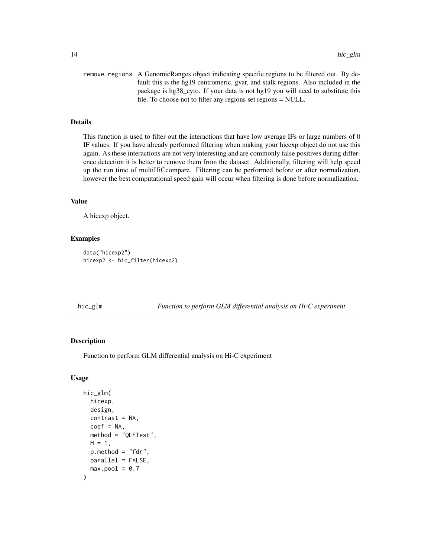```
remove.regions A GenomicRanges object indicating specific regions to be filtered out. By de-
                  fault this is the hg19 centromeric, gvar, and stalk regions. Also included in the
                   package is hg38_cyto. If your data is not hg19 you will need to substitute this
                   file. To choose not to filter any regions set regions = NULL.
```
## Details

This function is used to filter out the interactions that have low average IFs or large numbers of 0 IF values. If you have already performed filtering when making your hicexp object do not use this again. As these interactions are not very interesting and are commonly false positives during difference detection it is better to remove them from the dataset. Additionally, filtering will help speed up the run time of multiHiCcompare. Filtering can be performed before or after normalization, however the best computational speed gain will occur when filtering is done before normalization.

#### Value

A hicexp object.

#### Examples

```
data("hicexp2")
hicexp2 <- hic_filter(hicexp2)
```
hic\_glm *Function to perform GLM differential analysis on Hi-C experiment*

#### Description

Function to perform GLM differential analysis on Hi-C experiment

#### Usage

```
hic_glm(
  hicexp,
  design,
  contrast = NA,
  coef = NA,
  method = "QLFTest",
 M = 1,
  p. method = "fdr",
 parallel = FALSE,
  max.pool = 0.7)
```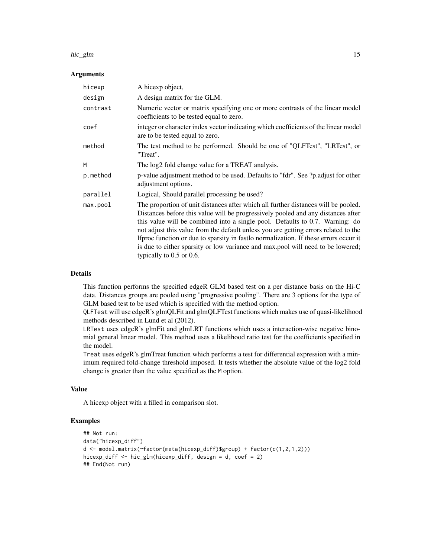#### hic\_glm 15

#### Arguments

| hicexp   | A hicexp object,                                                                                                                                                                                                                                                                                                                                                                                                                                                                                                                                           |
|----------|------------------------------------------------------------------------------------------------------------------------------------------------------------------------------------------------------------------------------------------------------------------------------------------------------------------------------------------------------------------------------------------------------------------------------------------------------------------------------------------------------------------------------------------------------------|
| design   | A design matrix for the GLM.                                                                                                                                                                                                                                                                                                                                                                                                                                                                                                                               |
| contrast | Numeric vector or matrix specifying one or more contrasts of the linear model<br>coefficients to be tested equal to zero.                                                                                                                                                                                                                                                                                                                                                                                                                                  |
| coef     | integer or character index vector indicating which coefficients of the linear model<br>are to be tested equal to zero.                                                                                                                                                                                                                                                                                                                                                                                                                                     |
| method   | The test method to be performed. Should be one of "QLFTest", "LRTest", or<br>"Treat".                                                                                                                                                                                                                                                                                                                                                                                                                                                                      |
| M        | The log2 fold change value for a TREAT analysis.                                                                                                                                                                                                                                                                                                                                                                                                                                                                                                           |
| p.method | p-value adjustment method to be used. Defaults to "fdr". See ?p. adjust for other<br>adjustment options.                                                                                                                                                                                                                                                                                                                                                                                                                                                   |
| parallel | Logical, Should parallel processing be used?                                                                                                                                                                                                                                                                                                                                                                                                                                                                                                               |
| max.pop1 | The proportion of unit distances after which all further distances will be pooled.<br>Distances before this value will be progressively pooled and any distances after<br>this value will be combined into a single pool. Defaults to 0.7. Warning: do<br>not adjust this value from the default unless you are getting errors related to the<br>If proc function or due to sparsity in fastlo normalization. If these errors occur it<br>is due to either sparsity or low variance and max.pool will need to be lowered;<br>typically to $0.5$ or $0.6$ . |

#### Details

This function performs the specified edgeR GLM based test on a per distance basis on the Hi-C data. Distances groups are pooled using "progressive pooling". There are 3 options for the type of GLM based test to be used which is specified with the method option.

QLFTest will use edgeR's glmQLFit and glmQLFTest functions which makes use of quasi-likelihood methods described in Lund et al (2012).

LRTest uses edgeR's glmFit and glmLRT functions which uses a interaction-wise negative binomial general linear model. This method uses a likelihood ratio test for the coefficients specified in the model.

Treat uses edgeR's glmTreat function which performs a test for differential expression with a minimum required fold-change threshold imposed. It tests whether the absolute value of the log2 fold change is greater than the value specified as the M option.

## Value

A hicexp object with a filled in comparison slot.

```
## Not run:
data("hicexp_diff")
d <- model.matrix(~factor(meta(hicexp_diff)$group) + factor(c(1,2,1,2)))
hicexp_diff <- hic_glm(hicexp_diff, design = d, coef = 2)
## End(Not run)
```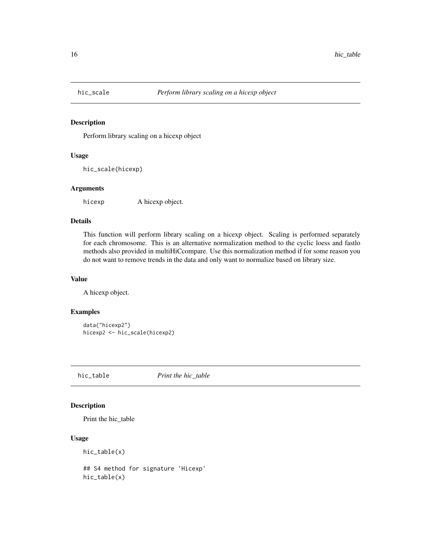<span id="page-15-0"></span>

Perform library scaling on a hicexp object

## Usage

hic\_scale(hicexp)

#### Arguments

hicexp A hicexp object.

#### Details

This function will perform library scaling on a hicexp object. Scaling is performed separately for each chromosome. This is an alternative normalization method to the cyclic loess and fastlo methods also provided in multiHiCcompare. Use this normalization method if for some reason you do not want to remove trends in the data and only want to normalize based on library size.

#### Value

A hicexp object.

#### Examples

```
data("hicexp2")
hicexp2 <- hic_scale(hicexp2)
```
hic\_table *Print the hic\_table*

## Description

Print the hic\_table

#### Usage

hic\_table(x)

## S4 method for signature 'Hicexp' hic\_table(x)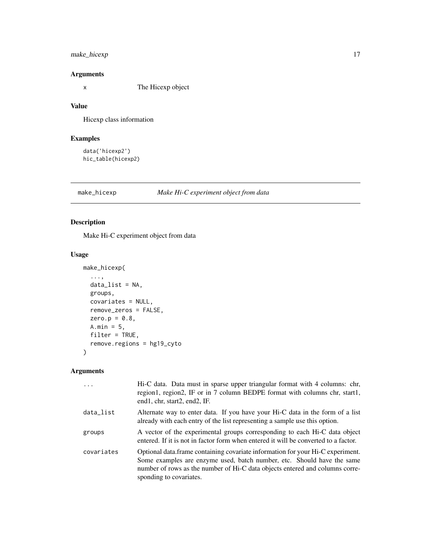## <span id="page-16-0"></span>make\_hicexp 17

## Arguments

x The Hicexp object

## Value

Hicexp class information

## Examples

```
data('hicexp2')
hic_table(hicexp2)
```
## make\_hicexp *Make Hi-C experiment object from data*

#### Description

Make Hi-C experiment object from data

#### Usage

```
make_hicexp(
  ...,
 data_list = NA,
 groups,
 covariates = NULL,
 remove_zeros = FALSE,
 zero.p = 0.8,
 A.min = 5,
 filter = TRUE,
  remove.regions = hg19_cyto
\mathcal{L}
```
## Arguments

| $\ddots$ . | Hi-C data. Data must in sparse upper triangular format with 4 columns: chr,<br>region1, region2, IF or in 7 column BEDPE format with columns chr, start1,<br>end1, chr, start2, end2, IF.                                                                            |
|------------|----------------------------------------------------------------------------------------------------------------------------------------------------------------------------------------------------------------------------------------------------------------------|
| data_list  | Alternate way to enter data. If you have your Hi-C data in the form of a list<br>already with each entry of the list representing a sample use this option.                                                                                                          |
| groups     | A vector of the experimental groups corresponding to each Hi-C data object<br>entered. If it is not in factor form when entered it will be converted to a factor.                                                                                                    |
| covariates | Optional data. frame containing covariate information for your Hi-C experiment.<br>Some examples are enzyme used, batch number, etc. Should have the same<br>number of rows as the number of Hi-C data objects entered and columns corre-<br>sponding to covariates. |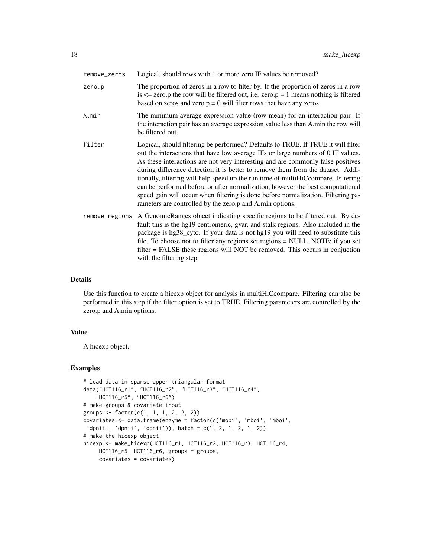| remove_zeros   | Logical, should rows with 1 or more zero IF values be removed?                                                                                                                                                                                                                                                                                                                                                                                                                                                                                                                                                                                                   |
|----------------|------------------------------------------------------------------------------------------------------------------------------------------------------------------------------------------------------------------------------------------------------------------------------------------------------------------------------------------------------------------------------------------------------------------------------------------------------------------------------------------------------------------------------------------------------------------------------------------------------------------------------------------------------------------|
| zero.p         | The proportion of zeros in a row to filter by. If the proportion of zeros in a row<br>is $\le$ zero.p the row will be filtered out, i.e. zero.p = 1 means nothing is filtered<br>based on zeros and zero. $p = 0$ will filter rows that have any zeros.                                                                                                                                                                                                                                                                                                                                                                                                          |
| A.min          | The minimum average expression value (row mean) for an interaction pair. If<br>the interaction pair has an average expression value less than A.min the row will<br>be filtered out.                                                                                                                                                                                                                                                                                                                                                                                                                                                                             |
| filter         | Logical, should filtering be performed? Defaults to TRUE. If TRUE it will filter<br>out the interactions that have low average IFs or large numbers of 0 IF values.<br>As these interactions are not very interesting and are commonly false positives<br>during difference detection it is better to remove them from the dataset. Addi-<br>tionally, filtering will help speed up the run time of multiHiCcompare. Filtering<br>can be performed before or after normalization, however the best computational<br>speed gain will occur when filtering is done before normalization. Filtering pa-<br>rameters are controlled by the zero.p and A.min options. |
| remove.regions | A GenomicRanges object indicating specific regions to be filtered out. By de-<br>fault this is the hg19 centromeric, gvar, and stalk regions. Also included in the<br>package is hg38_cyto. If your data is not hg19 you will need to substitute this<br>file. To choose not to filter any regions set regions = NULL. NOTE: if you set<br>$filter = FALSE$ these regions will NOT be removed. This occurs in conjuction<br>with the filtering step.                                                                                                                                                                                                             |

#### Details

Use this function to create a hicexp object for analysis in multiHiCcompare. Filtering can also be performed in this step if the filter option is set to TRUE. Filtering parameters are controlled by the zero.p and A.min options.

#### Value

A hicexp object.

```
# load data in sparse upper triangular format
data("HCT116_r1", "HCT116_r2", "HCT116_r3", "HCT116_r4",
    "HCT116_r5", "HCT116_r6")
# make groups & covariate input
groups <- factor(c(1, 1, 1, 2, 2, 2))
covariates <- data.frame(enzyme = factor(c('mobi', 'mboi', 'mboi',
 'dpnii', 'dpnii', 'dpnii')), batch = c(1, 2, 1, 2, 1, 2))
# make the hicexp object
hicexp <- make_hicexp(HCT116_r1, HCT116_r2, HCT116_r3, HCT116_r4,
    HCT116_r5, HCT116_r6, groups = groups,
    covariates = covariates)
```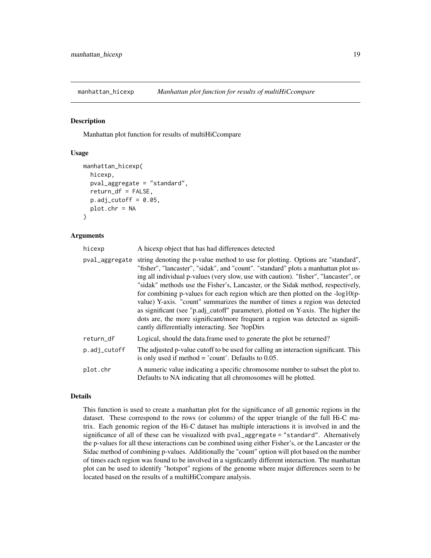<span id="page-18-0"></span>

Manhattan plot function for results of multiHiCcompare

#### Usage

```
manhattan_hicexp(
  hicexp,
 pval_aggregate = "standard",
  return_df = FALSE,
  p.add_cutoff = 0.05,
 plot.chr = NA
)
```
#### Arguments

| hicexp       | A hicexp object that has had differences detected                                                                                                                                                                                                                                                                                                                                                                                                                                                                                                                                                                                                                                                                                                           |
|--------------|-------------------------------------------------------------------------------------------------------------------------------------------------------------------------------------------------------------------------------------------------------------------------------------------------------------------------------------------------------------------------------------------------------------------------------------------------------------------------------------------------------------------------------------------------------------------------------------------------------------------------------------------------------------------------------------------------------------------------------------------------------------|
|              | pval_aggregate string denoting the p-value method to use for plotting. Options are "standard",<br>"fisher", "lancaster", "sidak", and "count". "standard" plots a manhattan plot us-<br>ing all individual p-values (very slow, use with caution). "fisher", "lancaster", or<br>"sidak" methods use the Fisher's, Lancaster, or the Sidak method, respectively,<br>for combining p-values for each region which are then plotted on the $-log10(p-$<br>value) Y-axis. "count" summarizes the number of times a region was detected<br>as significant (see "p.adj_cutoff" parameter), plotted on Y-axis. The higher the<br>dots are, the more significant/more frequent a region was detected as signifi-<br>cantly differentially interacting. See ?topDirs |
| return_df    | Logical, should the data frame used to generate the plot be returned?                                                                                                                                                                                                                                                                                                                                                                                                                                                                                                                                                                                                                                                                                       |
| p.adj_cutoff | The adjusted p-value cutoff to be used for calling an interaction significant. This<br>is only used if method $=$ 'count'. Defaults to 0.05.                                                                                                                                                                                                                                                                                                                                                                                                                                                                                                                                                                                                                |
| plot.chr     | A numeric value indicating a specific chromosome number to subset the plot to.<br>Defaults to NA indicating that all chromosomes will be plotted.                                                                                                                                                                                                                                                                                                                                                                                                                                                                                                                                                                                                           |

#### Details

This function is used to create a manhattan plot for the significance of all genomic regions in the dataset. These correspond to the rows (or columns) of the upper triangle of the full Hi-C matrix. Each genomic region of the Hi-C dataset has multiple interactions it is involved in and the significance of all of these can be visualized with pval\_aggregate = "standard". Alternatively the p-values for all these interactions can be combined using either Fisher's, or the Lancaster or the Sidac method of combining p-values. Additionally the "count" option will plot based on the number of times each region was found to be involved in a signficantly different interaction. The manhattan plot can be used to identify "hotspot" regions of the genome where major differences seem to be located based on the results of a multiHiCcompare analysis.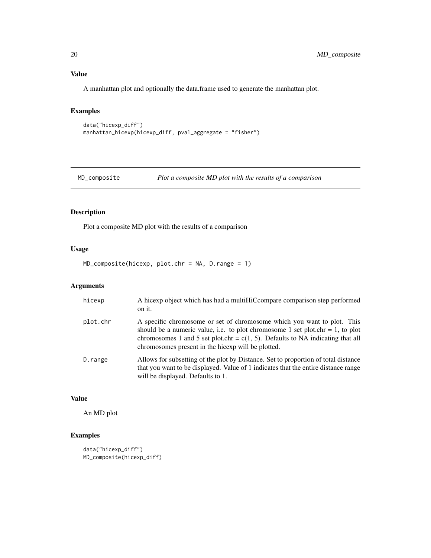A manhattan plot and optionally the data.frame used to generate the manhattan plot.

## Examples

```
data("hicexp_diff")
manhattan_hicexp(hicexp_diff, pval_aggregate = "fisher")
```
MD\_composite *Plot a composite MD plot with the results of a comparison*

## Description

Plot a composite MD plot with the results of a comparison

#### Usage

```
MD_composite(hicexp, plot.chr = NA, D.range = 1)
```
## Arguments

| hicexp   | A hicexp object which has had a multiHiCcompare comparison step performed<br>on it.                                                                                                                                                                                                                  |
|----------|------------------------------------------------------------------------------------------------------------------------------------------------------------------------------------------------------------------------------------------------------------------------------------------------------|
| plot.chr | A specific chromosome or set of chromosome which you want to plot. This<br>should be a numeric value, i.e. to plot chromosome 1 set plot.chr = 1, to plot<br>chromosomes 1 and 5 set plot.chr = $c(1, 5)$ . Defaults to NA indicating that all<br>chromosomes present in the hicexp will be plotted. |
| D.range  | Allows for subsetting of the plot by Distance. Set to proportion of total distance<br>that you want to be displayed. Value of 1 indicates that the entire distance range<br>will be displayed. Defaults to 1.                                                                                        |

#### Value

An MD plot

```
data("hicexp_diff")
MD_composite(hicexp_diff)
```
<span id="page-19-0"></span>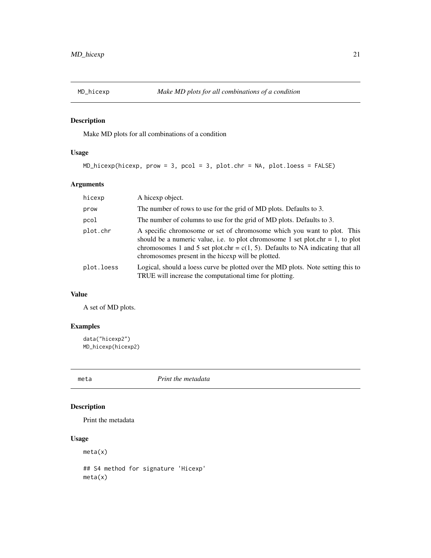<span id="page-20-0"></span>

Make MD plots for all combinations of a condition

## Usage

```
MD_hicexp(hicexp, prow = 3, pcol = 3, plot.chr = NA, plot.loess = FALSE)
```
## Arguments

| hicexp     | A hicexp object.                                                                                                                                                                                                                                                                                     |
|------------|------------------------------------------------------------------------------------------------------------------------------------------------------------------------------------------------------------------------------------------------------------------------------------------------------|
| prow       | The number of rows to use for the grid of MD plots. Defaults to 3.                                                                                                                                                                                                                                   |
| pcol       | The number of columns to use for the grid of MD plots. Defaults to 3.                                                                                                                                                                                                                                |
| plot.chr   | A specific chromosome or set of chromosome which you want to plot. This<br>should be a numeric value, i.e. to plot chromosome 1 set plot.chr = 1, to plot<br>chromosomes 1 and 5 set plot.chr = $c(1, 5)$ . Defaults to NA indicating that all<br>chromosomes present in the hicexp will be plotted. |
| plot.loess | Logical, should a loess curve be plotted over the MD plots. Note setting this to<br>TRUE will increase the computational time for plotting.                                                                                                                                                          |

## Value

A set of MD plots.

## Examples

```
data("hicexp2")
MD_hicexp(hicexp2)
```
meta *Print the metadata*

## Description

Print the metadata

## Usage

meta(x)

## S4 method for signature 'Hicexp' meta(x)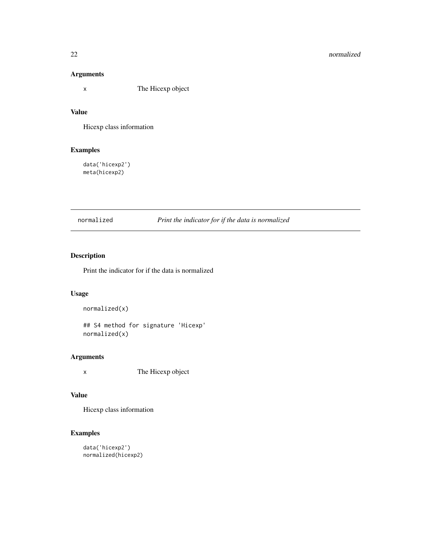## <span id="page-21-0"></span>Arguments

x The Hicexp object

## Value

Hicexp class information

## Examples

data('hicexp2') meta(hicexp2)

normalized *Print the indicator for if the data is normalized*

## Description

Print the indicator for if the data is normalized

#### Usage

```
normalized(x)
```
## S4 method for signature 'Hicexp' normalized(x)

## Arguments

x The Hicexp object

## Value

Hicexp class information

```
data('hicexp2')
normalized(hicexp2)
```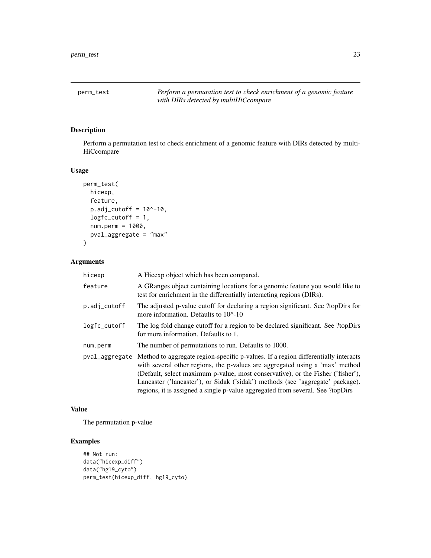<span id="page-22-0"></span>perm\_test *Perform a permutation test to check enrichment of a genomic feature with DIRs detected by multiHiCcompare*

## Description

Perform a permutation test to check enrichment of a genomic feature with DIRs detected by multi-**HiCcompare** 

## Usage

```
perm_test(
  hicexp,
  feature,
  p.add_cutoff = 10^{\wedge}-10,logfc_cutoff = 1,
  num.perm = 1000,
  pval_aggregate = "max"
)
```
#### Arguments

| hicexp         | A Hicexp object which has been compared.                                                                                                                                                                                                                                                                                                                                                                                  |
|----------------|---------------------------------------------------------------------------------------------------------------------------------------------------------------------------------------------------------------------------------------------------------------------------------------------------------------------------------------------------------------------------------------------------------------------------|
| feature        | A GRanges object containing locations for a genomic feature you would like to<br>test for enrichment in the differentially interacting regions (DIRs).                                                                                                                                                                                                                                                                    |
| p.adj_cutoff   | The adjusted p-value cutoff for declaring a region significant. See ?topDirs for<br>more information. Defaults to $10^{\circ}$ -10                                                                                                                                                                                                                                                                                        |
| logfc_cutoff   | The log fold change cutoff for a region to be declared significant. See ?topDirs<br>for more information. Defaults to 1.                                                                                                                                                                                                                                                                                                  |
| num.perm       | The number of permutations to run. Defaults to 1000.                                                                                                                                                                                                                                                                                                                                                                      |
| pval_aggregate | Method to aggregate region-specific p-values. If a region differentially interacts<br>with several other regions, the p-values are aggregated using a 'max' method<br>(Default, select maximum p-value, most conservative), or the Fisher ('fisher'),<br>Lancaster ('lancaster'), or Sidak ('sidak') methods (see 'aggregate' package).<br>regions, it is assigned a single p-value aggregated from several. See ?topDirs |

#### Value

The permutation p-value

```
## Not run:
data("hicexp_diff")
data("hg19_cyto")
perm_test(hicexp_diff, hg19_cyto)
```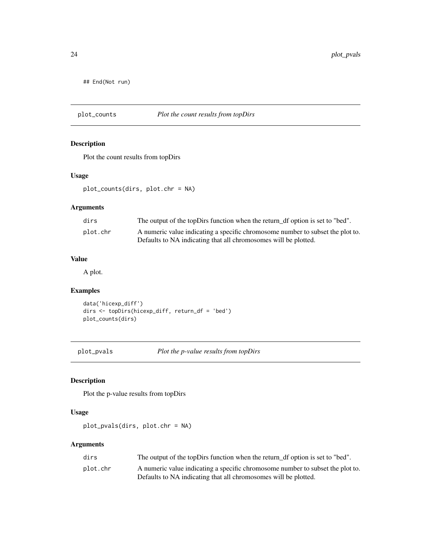<span id="page-23-0"></span>## End(Not run)

## plot\_counts *Plot the count results from topDirs*

## Description

Plot the count results from topDirs

#### Usage

plot\_counts(dirs, plot.chr = NA)

## Arguments

| dirs     | The output of the topDirs function when the return_df option is set to "bed".  |
|----------|--------------------------------------------------------------------------------|
| plot.chr | A numeric value indicating a specific chromosome number to subset the plot to. |
|          | Defaults to NA indicating that all chromosomes will be plotted.                |

## Value

A plot.

## Examples

```
data('hicexp_diff')
dirs <- topDirs(hicexp_diff, return_df = 'bed')
plot_counts(dirs)
```
plot\_pvals *Plot the p-value results from topDirs*

## Description

Plot the p-value results from topDirs

## Usage

plot\_pvals(dirs, plot.chr = NA)

## Arguments

| dirs     | The output of the topDirs function when the return_df option is set to "bed".  |
|----------|--------------------------------------------------------------------------------|
| plot.chr | A numeric value indicating a specific chromosome number to subset the plot to. |
|          | Defaults to NA indicating that all chromosomes will be plotted.                |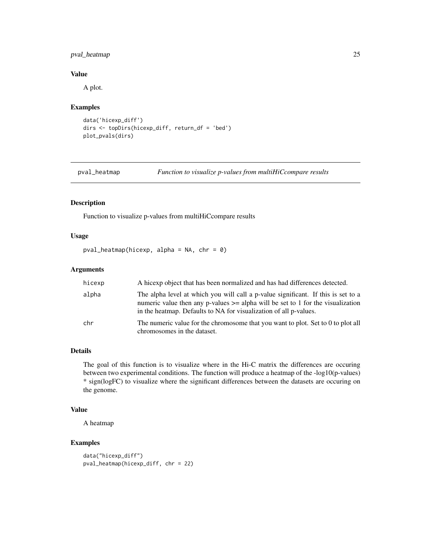## <span id="page-24-0"></span>pval\_heatmap 25

## Value

A plot.

#### Examples

```
data('hicexp_diff')
dirs <- topDirs(hicexp_diff, return_df = 'bed')
plot_pvals(dirs)
```
pval\_heatmap *Function to visualize p-values from multiHiCcompare results*

## Description

Function to visualize p-values from multiHiCcompare results

## Usage

pval\_heatmap(hicexp, alpha = NA, chr =  $0$ )

#### Arguments

| hicexp | A hicexp object that has been normalized and has had differences detected.                                                                                                                                                                    |
|--------|-----------------------------------------------------------------------------------------------------------------------------------------------------------------------------------------------------------------------------------------------|
| alpha  | The alpha level at which you will call a p-value significant. If this is set to a<br>numeric value then any p-values $\geq$ alpha will be set to 1 for the visualization<br>in the heatmap. Defaults to NA for visualization of all p-values. |
| chr    | The numeric value for the chromosome that you want to plot. Set to 0 to plot all<br>chromosomes in the dataset.                                                                                                                               |

#### Details

The goal of this function is to visualize where in the Hi-C matrix the differences are occuring between two experimental conditions. The function will produce a heatmap of the -log10(p-values) \* sign(logFC) to visualize where the significant differences between the datasets are occuring on the genome.

#### Value

A heatmap

```
data("hicexp_diff")
pval_heatmap(hicexp_diff, chr = 22)
```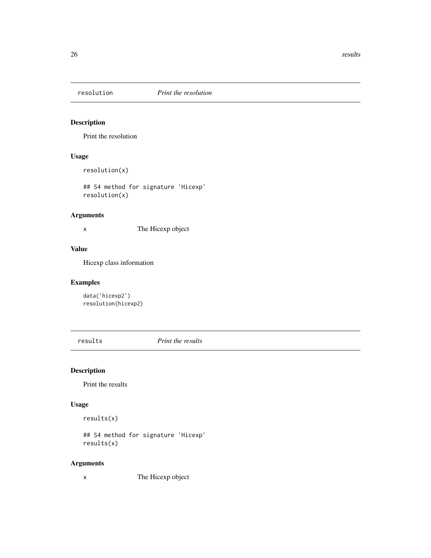<span id="page-25-0"></span>

Print the resolution

## Usage

resolution(x)

## S4 method for signature 'Hicexp' resolution(x)

#### Arguments

x The Hicexp object

## Value

Hicexp class information

## Examples

data('hicexp2') resolution(hicexp2)

results *Print the results*

## Description

Print the results

## Usage

results(x)

## S4 method for signature 'Hicexp' results(x)

## Arguments

x The Hicexp object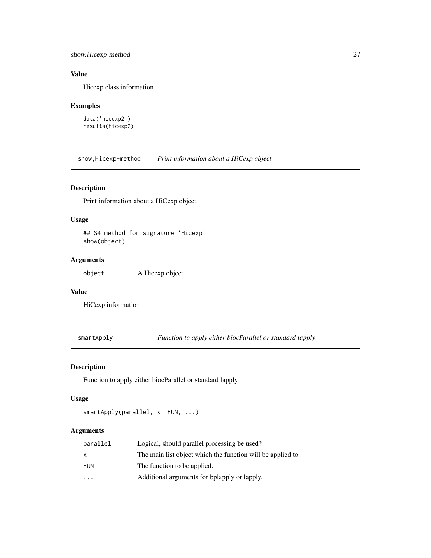## <span id="page-26-0"></span>show,Hicexp-method 27

## Value

Hicexp class information

## Examples

```
data('hicexp2')
results(hicexp2)
```
show,Hicexp-method *Print information about a HiCexp object*

## Description

Print information about a HiCexp object

#### Usage

```
## S4 method for signature 'Hicexp'
show(object)
```
## Arguments

object A Hicexp object

## Value

HiCexp information

smartApply *Function to apply either biocParallel or standard lapply*

## Description

Function to apply either biocParallel or standard lapply

## Usage

```
smartApply(parallel, x, FUN, ...)
```
## Arguments

| parallel   | Logical, should parallel processing be used?                |
|------------|-------------------------------------------------------------|
| x          | The main list object which the function will be applied to. |
| <b>FUN</b> | The function to be applied.                                 |
| $\cdot$    | Additional arguments for bplapply or lapply.                |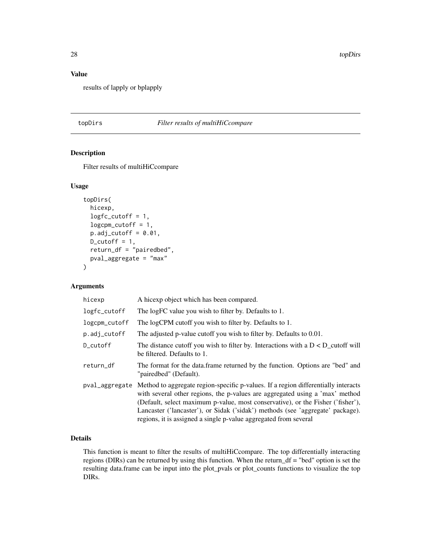28 topDirs and the contract of the contract of the contract of the contract of the contract of the contract of the contract of the contract of the contract of the contract of the contract of the contract of the contract of

## Value

results of lapply or bplapply

#### topDirs *Filter results of multiHiCcompare*

## Description

Filter results of multiHiCcompare

#### Usage

```
topDirs(
  hicexp,
  logfc_cutoff = 1,
  logcpm_cutoff = 1,
  p.add_cutoff = 0.01,
  D_{\text{cutoff}} = 1,
  return_df = "pairedbed",
  pval_aggregate = "max"
\mathcal{E}
```
## Arguments

| hicexp        | A hicexp object which has been compared.                                                                                                                                                                                                                                                                                                                                                                                   |
|---------------|----------------------------------------------------------------------------------------------------------------------------------------------------------------------------------------------------------------------------------------------------------------------------------------------------------------------------------------------------------------------------------------------------------------------------|
| logfc_cutoff  | The logFC value you wish to filter by. Defaults to 1.                                                                                                                                                                                                                                                                                                                                                                      |
| logcpm_cutoff | The logCPM cutoff you wish to filter by. Defaults to 1.                                                                                                                                                                                                                                                                                                                                                                    |
| p.adj_cutoff  | The adjusted p-value cutoff you wish to filter by. Defaults to 0.01.                                                                                                                                                                                                                                                                                                                                                       |
| D_cutoff      | The distance cutoff you wish to filter by. Interactions with a $D < D$ cutoff will<br>be filtered. Defaults to 1.                                                                                                                                                                                                                                                                                                          |
| return_df     | The format for the data.frame returned by the function. Options are "bed" and<br>"pairedbed" (Default).                                                                                                                                                                                                                                                                                                                    |
|               | pval_aggregate Method to aggregate region-specific p-values. If a region differentially interacts<br>with several other regions, the p-values are aggregated using a 'max' method<br>(Default, select maximum p-value, most conservative), or the Fisher ('fisher'),<br>Lancaster ('lancaster'), or Sidak ('sidak') methods (see 'aggregate' package).<br>regions, it is assigned a single p-value aggregated from several |

## Details

This function is meant to filter the results of multiHiCcompare. The top differentially interacting regions (DIRs) can be returned by using this function. When the return\_df = "bed" option is set the resulting data.frame can be input into the plot\_pvals or plot\_counts functions to visualize the top DIRs.

<span id="page-27-0"></span>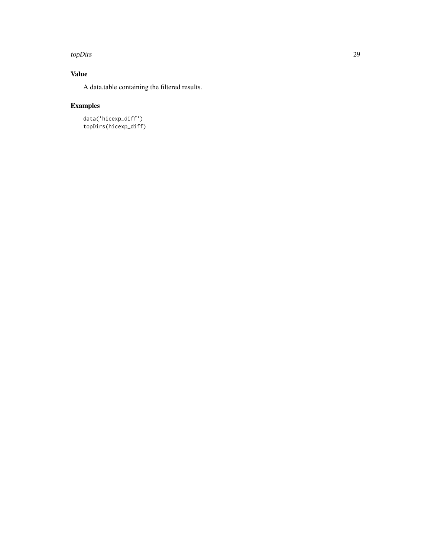#### topDirs 29

## Value

A data.table containing the filtered results.

## Examples

data('hicexp\_diff') topDirs(hicexp\_diff)